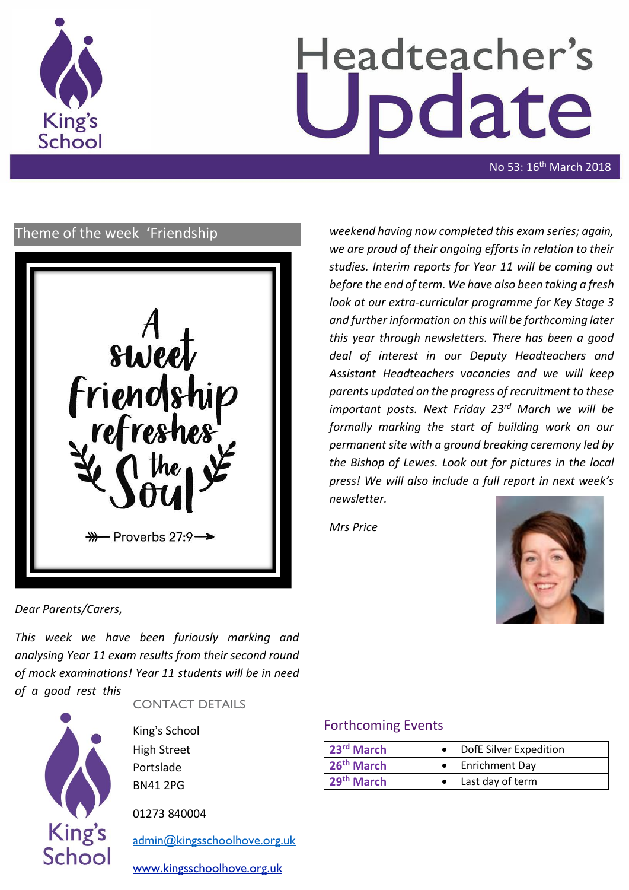

# Headteacher's date

No 53: 16<sup>th</sup> March 2018

# Theme of the week 'Friendship



*weekend having now completed this exam series; again, we are proud of their ongoing efforts in relation to their studies. Interim reports for Year 11 will be coming out before the end of term. We have also been taking a fresh look at our extra-curricular programme for Key Stage 3 and further information on this will be forthcoming later this year through newsletters. There has been a good deal of interest in our Deputy Headteachers and Assistant Headteachers vacancies and we will keep parents updated on the progress of recruitment to these important posts. Next Friday 23rd March we will be formally marking the start of building work on our permanent site with a ground breaking ceremony led by the Bishop of Lewes. Look out for pictures in the local press! We will also include a full report in next week's newsletter.* 

*Mrs Price*



*Dear Parents/Carers,*

*This week we have been furiously marking and analysing Year 11 exam results from their second round of mock examinations! Year 11 students will be in need of a good rest this* 



CONTACT DETAILS

King's School High Street Portslade BN41 2PG

01273 840004

[admin@kingsschoolhove.org.uk](mailto:admin@kingsschoolhove.org.uk)

[www.kingsschoolhove.org.uk](http://www.kingsschoolhove.org.uk/)

# Forthcoming Events

| 23rd March             | DofE Silver Expedition |                       |
|------------------------|------------------------|-----------------------|
| 26 <sup>th</sup> March |                        | <b>Enrichment Day</b> |
| 29th March             |                        | Last day of term      |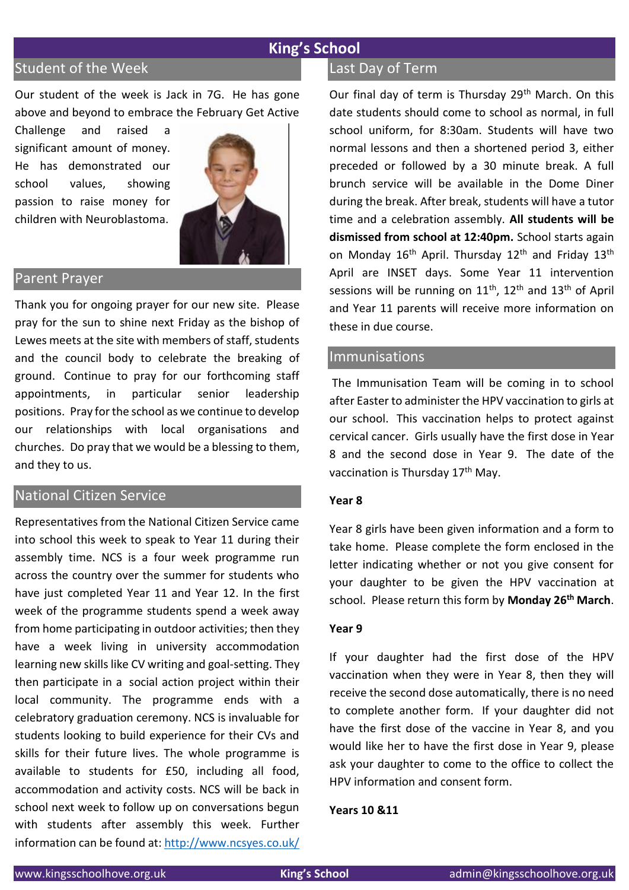# **King's School**

# Student of the Week

Our student of the week is Jack in 7G. He has gone above and beyond to embrace the February Get Active

Challenge and raised a significant amount of money. He has demonstrated our school values, showing passion to raise money for children with Neuroblastoma.



#### Parent Prayer

Thank you for ongoing prayer for our new site. Please pray for the sun to shine next Friday as the bishop of Lewes meets at the site with members of staff, students and the council body to celebrate the breaking of ground. Continue to pray for our forthcoming staff appointments, in particular senior leadership positions. Pray for the school as we continue to develop our relationships with local organisations and churches. Do pray that we would be a blessing to them, and they to us.

# National Citizen Service

Representatives from the National Citizen Service came into school this week to speak to Year 11 during their assembly time. NCS is a four week programme run across the country over the summer for students who have just completed Year 11 and Year 12. In the first week of the programme students spend a week away from home participating in outdoor activities; then they have a week living in university accommodation learning new skills like CV writing and goal-setting. They then participate in a social action project within their local community. The programme ends with a celebratory graduation ceremony. NCS is invaluable for students looking to build experience for their CVs and skills for their future lives. The whole programme is available to students for £50, including all food, accommodation and activity costs. NCS will be back in school next week to follow up on conversations begun with students after assembly this week. Further information can be found at: <http://www.ncsyes.co.uk/>

## Last Day of Term

Our final day of term is Thursday 29<sup>th</sup> March. On this date students should come to school as normal, in full school uniform, for 8:30am. Students will have two normal lessons and then a shortened period 3, either preceded or followed by a 30 minute break. A full brunch service will be available in the Dome Diner during the break. After break, students will have a tutor time and a celebration assembly. **All students will be dismissed from school at 12:40pm.** School starts again on Monday  $16<sup>th</sup>$  April. Thursday  $12<sup>th</sup>$  and Friday  $13<sup>th</sup>$ April are INSET days. Some Year 11 intervention sessions will be running on  $11<sup>th</sup>$ ,  $12<sup>th</sup>$  and  $13<sup>th</sup>$  of April and Year 11 parents will receive more information on these in due course.

#### **Immunisations**

The Immunisation Team will be coming in to school after Easter to administer the HPV vaccination to girls at our school. This vaccination helps to protect against cervical cancer. Girls usually have the first dose in Year 8 and the second dose in Year 9. The date of the vaccination is Thursday 17<sup>th</sup> May.

#### **Year 8**

Year 8 girls have been given information and a form to take home. Please complete the form enclosed in the letter indicating whether or not you give consent for your daughter to be given the HPV vaccination at school. Please return this form by **Monday 26th March**.

#### **Year 9**

If your daughter had the first dose of the HPV vaccination when they were in Year 8, then they will receive the second dose automatically, there is no need to complete another form. If your daughter did not have the first dose of the vaccine in Year 8, and you would like her to have the first dose in Year 9, please ask your daughter to come to the office to collect the HPV information and consent form.

#### **Years 10 &11**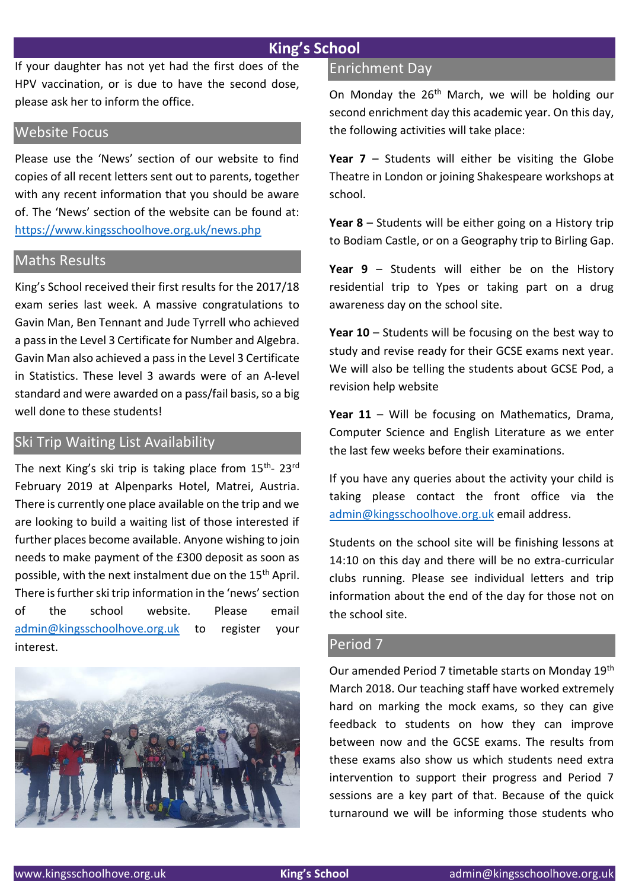# **King's School**

If your daughter has not yet had the first does of the HPV vaccination, or is due to have the second dose, please ask her to inform the office.

#### Website Focus

Please use the 'News' section of our website to find copies of all recent letters sent out to parents, together with any recent information that you should be aware of. The 'News' section of the website can be found at: <https://www.kingsschoolhove.org.uk/news.php>

#### Maths Results

King's School received their first results for the 2017/18 exam series last week. A massive congratulations to Gavin Man, Ben Tennant and Jude Tyrrell who achieved a pass in the Level 3 Certificate for Number and Algebra. Gavin Man also achieved a pass in the Level 3 Certificate in Statistics. These level 3 awards were of an A-level standard and were awarded on a pass/fail basis, so a big well done to these students!

# Ski Trip Waiting List Availability

The next King's ski trip is taking place from 15<sup>th</sup>- 23<sup>rd</sup> February 2019 at Alpenparks Hotel, Matrei, Austria. There is currently one place available on the trip and we are looking to build a waiting list of those interested if further places become available. Anyone wishing to join needs to make payment of the £300 deposit as soon as possible, with the next instalment due on the 15<sup>th</sup> April. There is further ski trip information in the 'news' section of the school website. Please email [admin@kingsschoolhove.org.uk](mailto:admin@kingsschoolhove.org.uk) to register your interest.



## Enrichment Day

On Monday the 26<sup>th</sup> March, we will be holding our second enrichment day this academic year. On this day, the following activities will take place:

**Year 7** – Students will either be visiting the Globe Theatre in London or joining Shakespeare workshops at school.

**Year 8** – Students will be either going on a History trip to Bodiam Castle, or on a Geography trip to Birling Gap.

**Year 9** – Students will either be on the History residential trip to Ypes or taking part on a drug awareness day on the school site.

**Year 10** – Students will be focusing on the best way to study and revise ready for their GCSE exams next year. We will also be telling the students about GCSE Pod, a revision help website

**Year 11** – Will be focusing on Mathematics, Drama, Computer Science and English Literature as we enter the last few weeks before their examinations.

If you have any queries about the activity your child is taking please contact the front office via the [admin@kingsschoolhove.org.uk](mailto:admin@kingsschoolhove.org.uk) email address.

Students on the school site will be finishing lessons at 14:10 on this day and there will be no extra-curricular clubs running. Please see individual letters and trip information about the end of the day for those not on the school site.

# Period 7

Our amended Period 7 timetable starts on Monday 19th March 2018. Our teaching staff have worked extremely hard on marking the mock exams, so they can give feedback to students on how they can improve between now and the GCSE exams. The results from these exams also show us which students need extra intervention to support their progress and Period 7 sessions are a key part of that. Because of the quick turnaround we will be informing those students who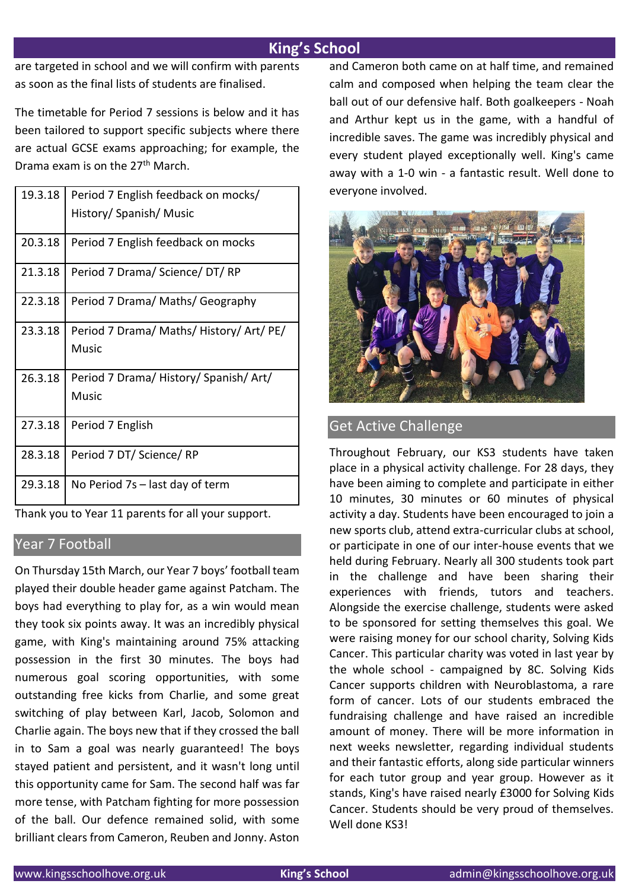# **King's School**

are targeted in school and we will confirm with parents as soon as the final lists of students are finalised.

The timetable for Period 7 sessions is below and it has been tailored to support specific subjects where there are actual GCSE exams approaching; for example, the Drama exam is on the 27th March.

| 19.3.18 | Period 7 English feedback on mocks/<br>History/ Spanish/ Music |
|---------|----------------------------------------------------------------|
| 20.3.18 | Period 7 English feedback on mocks                             |
| 21.3.18 | Period 7 Drama/ Science/ DT/ RP                                |
| 22.3.18 | Period 7 Drama/ Maths/ Geography                               |
| 23.3.18 | Period 7 Drama/ Maths/ History/ Art/ PE/<br>Music              |
| 26.3.18 | Period 7 Drama/ History/ Spanish/ Art/<br>Music                |
| 27.3.18 | Period 7 English                                               |
| 28.3.18 | Period 7 DT/ Science/ RP                                       |
| 29.3.18 | No Period 7s – last day of term                                |

Thank you to Year 11 parents for all your support.

## Year 7 Football

On Thursday 15th March, our Year 7 boys' football team played their double header game against Patcham. The boys had everything to play for, as a win would mean they took six points away. It was an incredibly physical game, with King's maintaining around 75% attacking possession in the first 30 minutes. The boys had numerous goal scoring opportunities, with some outstanding free kicks from Charlie, and some great switching of play between Karl, Jacob, Solomon and Charlie again. The boys new that if they crossed the ball in to Sam a goal was nearly guaranteed! The boys stayed patient and persistent, and it wasn't long until this opportunity came for Sam. The second half was far more tense, with Patcham fighting for more possession of the ball. Our defence remained solid, with some brilliant clears from Cameron, Reuben and Jonny. Aston and Cameron both came on at half time, and remained calm and composed when helping the team clear the ball out of our defensive half. Both goalkeepers - Noah and Arthur kept us in the game, with a handful of incredible saves. The game was incredibly physical and every student played exceptionally well. King's came away with a 1-0 win - a fantastic result. Well done to everyone involved.



# Get Active Challenge

Throughout February, our KS3 students have taken place in a physical activity challenge. For 28 days, they have been aiming to complete and participate in either 10 minutes, 30 minutes or 60 minutes of physical activity a day. Students have been encouraged to join a new sports club, attend extra-curricular clubs at school, or participate in one of our inter-house events that we held during February. Nearly all 300 students took part in the challenge and have been sharing their experiences with friends, tutors and teachers. Alongside the exercise challenge, students were asked to be sponsored for setting themselves this goal. We were raising money for our school charity, Solving Kids Cancer. This particular charity was voted in last year by the whole school - campaigned by 8C. Solving Kids Cancer supports children with Neuroblastoma, a rare form of cancer. Lots of our students embraced the fundraising challenge and have raised an incredible amount of money. There will be more information in next weeks newsletter, regarding individual students and their fantastic efforts, along side particular winners for each tutor group and year group. However as it stands, King's have raised nearly £3000 for Solving Kids Cancer. Students should be very proud of themselves. Well done KS3!